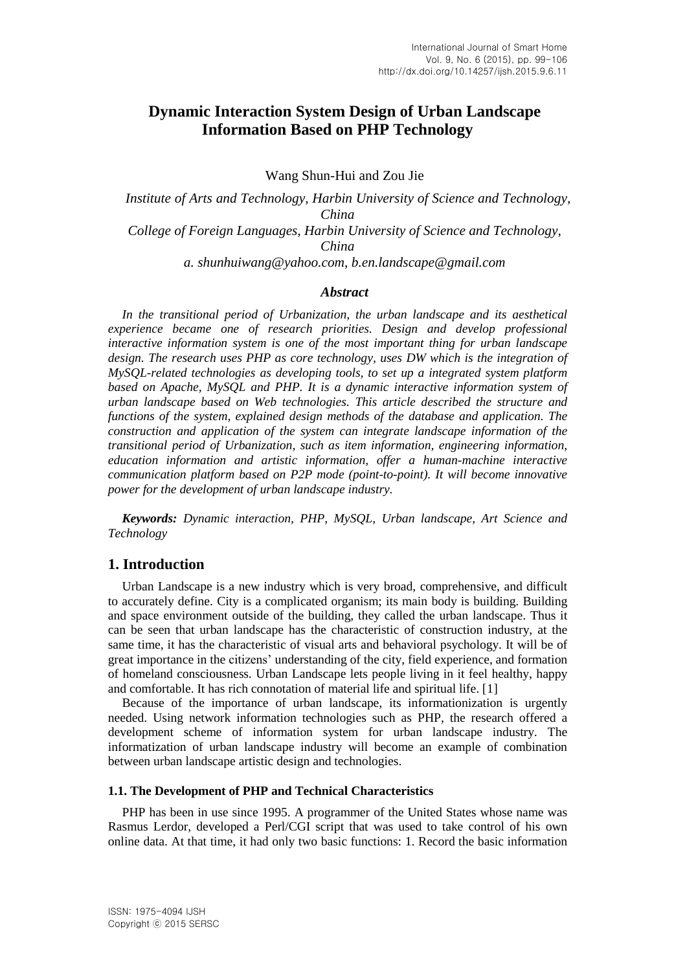# **Dynamic Interaction System Design of Urban Landscape Information Based on PHP Technology**

Wang Shun-Hui and Zou Jie

*Institute of Arts and Technology, Harbin University of Science and Technology, China College of Foreign Languages, Harbin University of Science and Technology, China a. [shunhuiwang@yahoo.com,](mailto:Wangshunhui@yahoo.com) b.en.landscape@gmail.com*

#### *Abstract*

*In the transitional period of Urbanization, the urban landscape and its aesthetical experience became one of research priorities. Design and develop professional interactive information system is one of the most important thing for urban landscape design. The research uses PHP as core technology, uses DW which is the integration of MySQL-related technologies as developing tools, to set up a integrated system platform based on Apache, MySQL and PHP. It is a dynamic interactive information system of urban landscape based on Web technologies. This article described the structure and functions of the system, explained design methods of the database and application. The construction and application of the system can integrate landscape information of the transitional period of Urbanization, such as item information, engineering information, education information and artistic information, offer a human-machine interactive communication platform based on P2P mode (point-to-point). It will become innovative power for the development of urban landscape industry.*

*Keywords: Dynamic interaction, PHP, MySQL, Urban landscape, Art Science and Technology*

### **1. Introduction**

Urban Landscape is a new industry which is very broad, comprehensive, and difficult to accurately define. City is a complicated organism; its main body is building. Building and space environment outside of the building, they called the urban landscape. Thus it can be seen that urban landscape has the characteristic of construction industry, at the same time, it has the characteristic of visual arts and behavioral psychology. It will be of great importance in the citizens' understanding of the city, field experience, and formation of homeland consciousness. Urban Landscape lets people living in it feel healthy, happy and comfortable. It has rich connotation of material life and spiritual life. [1]

Because of the importance of urban landscape, its informationization is urgently needed. Using network information technologies such as PHP, the research offered a development scheme of information system for urban landscape industry. The informatization of urban landscape industry will become an example of combination between urban landscape artistic design and technologies.

#### **1.1. The Development of PHP and Technical Characteristics**

PHP has been in use since 1995. A programmer of the United States whose name was Rasmus Lerdor, developed a Perl/CGI script that was used to take control of his own online data. At that time, it had only two basic functions: 1. Record the basic information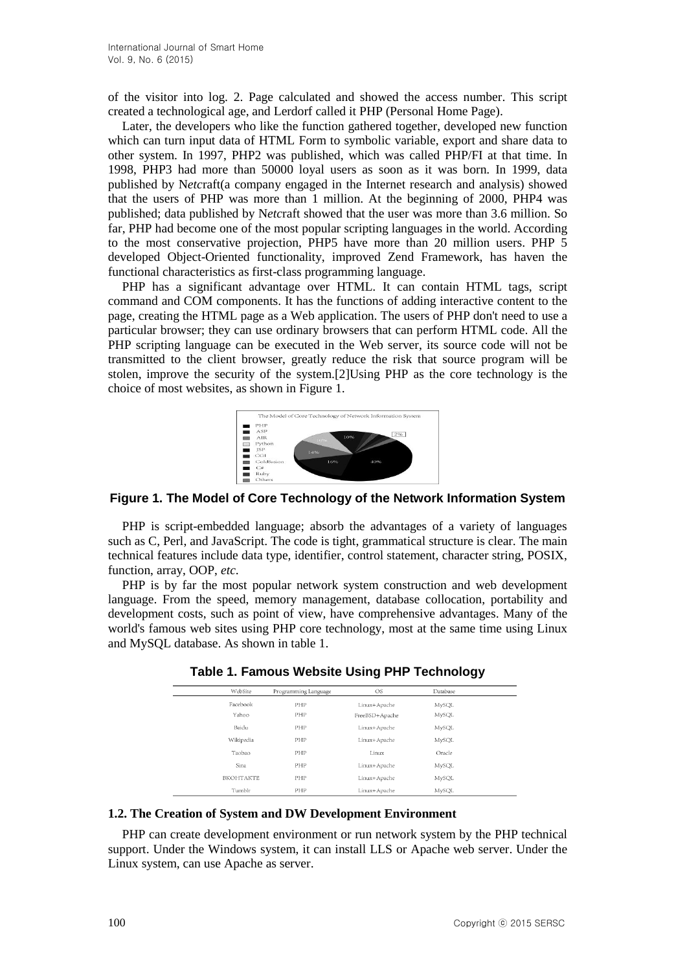of the visitor into log. 2. Page calculated and showed the access number. This script created a technological age, and Lerdorf called it PHP (Personal Home Page).

Later, the developers who like the function gathered together, developed new function which can turn input data of HTML Form to symbolic variable, export and share data to other system. In 1997, PHP2 was published, which was called PHP/FI at that time. In 1998, PHP3 had more than 50000 loyal users as soon as it was born. In 1999, data published by N*etc*raft(a company engaged in the Internet research and analysis) showed that the users of PHP was more than 1 million. At the beginning of 2000, PHP4 was published; data published by N*etc*raft showed that the user was more than 3.6 million. So far, PHP had become one of the most popular scripting languages in the world. According to the most conservative projection, PHP5 have more than 20 million users. PHP 5 developed Object-Oriented functionality, improved Zend Framework, has haven the functional characteristics as first-class programming language.

PHP has a significant advantage over HTML. It can contain HTML tags, script command and COM components. It has the functions of adding interactive content to the page, creating the HTML page as a Web application. The users of PHP don't need to use a particular browser; they can use ordinary browsers that can perform HTML code. All the PHP scripting language can be executed in the Web server, its source code will not be transmitted to the client browser, greatly reduce the risk that source program will be stolen, improve the security of the system.[2]Using PHP as the core technology is the choice of most websites, as shown in Figure 1.



**Figure 1. The Model of Core Technology of the Network Information System**

PHP is script-embedded language; absorb the advantages of a variety of languages such as C, Perl, and JavaScript. The code is tight, grammatical structure is clear. The main technical features include data type, identifier, control statement, character string, POSIX, function, array, OOP, *etc*.

PHP is by far the most popular network system construction and web development language. From the speed, memory management, database collocation, portability and development costs, such as point of view, have comprehensive advantages. Many of the world's famous web sites using PHP core technology, most at the same time using Linux and MySQL database. As shown in table 1.

| WebSite          | Programming Language | OS             | Database |  |
|------------------|----------------------|----------------|----------|--|
| Facebook         | PHP                  | Linux+Apache   | MySQL    |  |
| Yahoo            | PHP                  | FreeBSD+Apache | MySQL    |  |
| Baidu            | PHP                  | Linux+Apache   | MySQL    |  |
| Wikipedia        | PHP                  | Linux+Apache   | MySQL    |  |
| Taobao           | PHP                  | Linux          | Oracle   |  |
| Sina             | PHP                  | Linux+Apache   | MySQL    |  |
| <b>BKOHTAKTE</b> | PHP                  | Linux+Apache   | MySQL    |  |
| Tumblr           | PHP                  | Linux+Apache   | MySQL    |  |

**Table 1. Famous Website Using PHP Technology**

#### **1.2. The Creation of System and DW Development Environment**

PHP can create development environment or run network system by the PHP technical support. Under the Windows system, it can install LLS or Apache web server. Under the Linux system, can use Apache as server.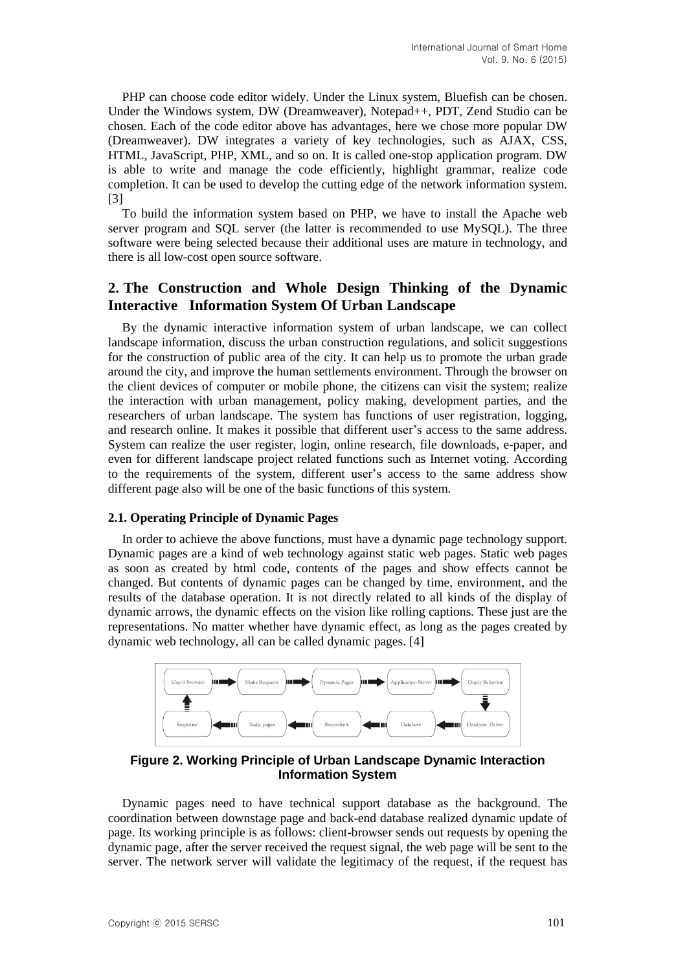PHP can choose code editor widely. Under the Linux system, Bluefish can be chosen. Under the Windows system, DW (Dreamweaver), Notepad++, PDT, Zend Studio can be chosen. Each of the code editor above has advantages, here we chose more popular DW (Dreamweaver). DW integrates a variety of key technologies, such as AJAX, CSS, HTML, JavaScript, PHP, XML, and so on. It is called one-stop application program. DW is able to write and manage the code efficiently, highlight grammar, realize code completion. It can be used to develop the cutting edge of the network information system. [3]

To build the information system based on PHP, we have to install the Apache web server program and SQL server (the latter is recommended to use MySQL). The three software were being selected because their additional uses are mature in technology, and there is all low-cost open source software.

# **2. The Construction and Whole Design Thinking of the Dynamic Interactive Information System Of Urban Landscape**

By the dynamic interactive information system of urban landscape, we can collect landscape information, discuss the urban construction regulations, and solicit suggestions for the construction of public area of the city. It can help us to promote the urban grade around the city, and improve the human settlements environment. Through the browser on the client devices of computer or mobile phone, the citizens can visit the system; realize the interaction with urban management, policy making, development parties, and the researchers of urban landscape. The system has functions of user registration, logging, and research online. It makes it possible that different user's access to the same address. System can realize the user register, login, online research, file downloads, e-paper, and even for different landscape project related functions such as Internet voting. According to the requirements of the system, different user's access to the same address show different page also will be one of the basic functions of this system.

#### **2.1. Operating Principle of Dynamic Pages**

In order to achieve the above functions, must have a dynamic page technology support. Dynamic pages are a kind of web technology against static web pages. Static web pages as soon as created by html code, contents of the pages and show effects cannot be changed. But contents of dynamic pages can be changed by time, environment, and the results of the database operation. It is not directly related to all kinds of the display of dynamic arrows, the dynamic effects on the vision like rolling captions. These just are the representations. No matter whether have dynamic effect, as long as the pages created by dynamic web technology, all can be called dynamic pages. [4]



**Figure 2. Working Principle of Urban Landscape Dynamic Interaction Information System**

Dynamic pages need to have technical support database as the background. The coordination between downstage page and back-end database realized dynamic update of page. Its working principle is as follows: client-browser sends out requests by opening the dynamic page, after the server received the request signal, the web page will be sent to the server. The network server will validate the legitimacy of the request, if the request has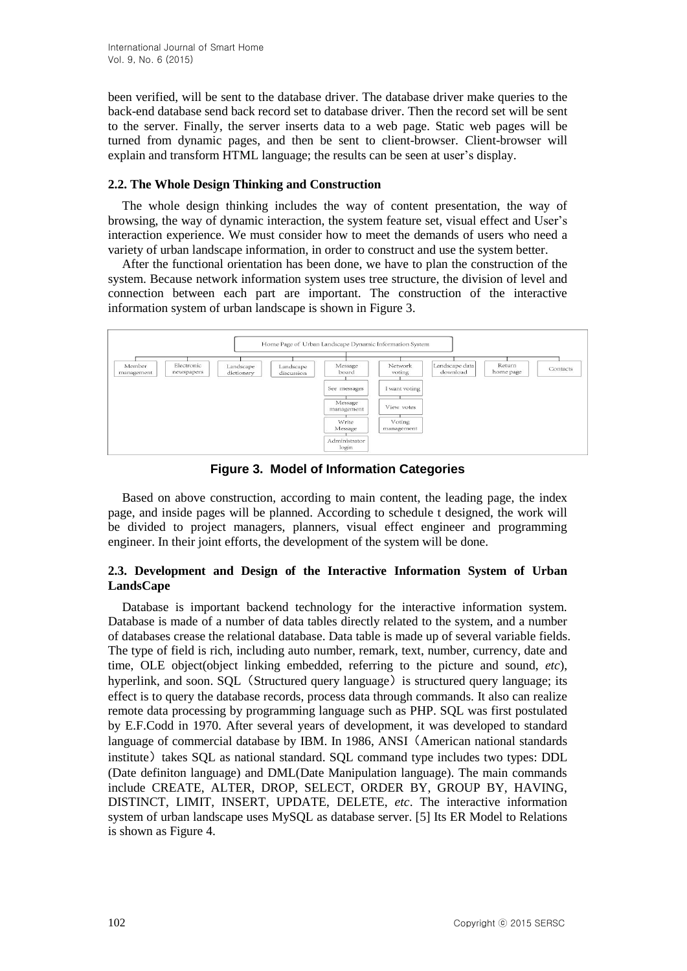been verified, will be sent to the database driver. The database driver make queries to the back-end database send back record set to database driver. Then the record set will be sent to the server. Finally, the server inserts data to a web page. Static web pages will be turned from dynamic pages, and then be sent to client-browser. Client-browser will explain and transform HTML language; the results can be seen at user's display.

### **2.2. The Whole Design Thinking and Construction**

The whole design thinking includes the way of content presentation, the way of browsing, the way of dynamic interaction, the system feature set, visual effect and User's interaction experience. We must consider how to meet the demands of users who need a variety of urban landscape information, in order to construct and use the system better.

After the functional orientation has been done, we have to plan the construction of the system. Because network information system uses tree structure, the division of level and connection between each part are important. The construction of the interactive information system of urban landscape is shown in Figure 3.



**Figure 3. Model of Information Categories**

Based on above construction, according to main content, the leading page, the index page, and inside pages will be planned. According to schedule t designed, the work will be divided to project managers, planners, visual effect engineer and programming engineer. In their joint efforts, the development of the system will be done.

## **2.3. Development and Design of the Interactive Information System of Urban LandsCape**

Database is important backend technology for the interactive information system. Database is made of a number of data tables directly related to the system, and a number of databases crease the relational database. Data table is made up of several variable fields. The type of field is rich, including auto number, remark, text, number, currency, date and time, OLE object(object linking embedded, referring to the picture and sound, *etc*), hyperlink, and soon.  $SOL$  (Structured query language) is structured query language; its effect is to query the database records, process data through commands. It also can realize remote data processing by programming language such as PHP. SQL was first postulated by E.F.Codd in 1970. After several years of development, it was developed to standard language of commercial database by IBM. In 1986, ANSI(American national standards institute) takes SQL as national standard. SQL command type includes two types: DDL (Date definiton language) and DML(Date Manipulation language). The main commands include CREATE, ALTER, DROP, SELECT, ORDER BY, GROUP BY, HAVING, DISTINCT, LIMIT, INSERT, UPDATE, DELETE, *etc*. The interactive information system of urban landscape uses MySQL as database server. [5] Its ER Model to Relations is shown as Figure 4.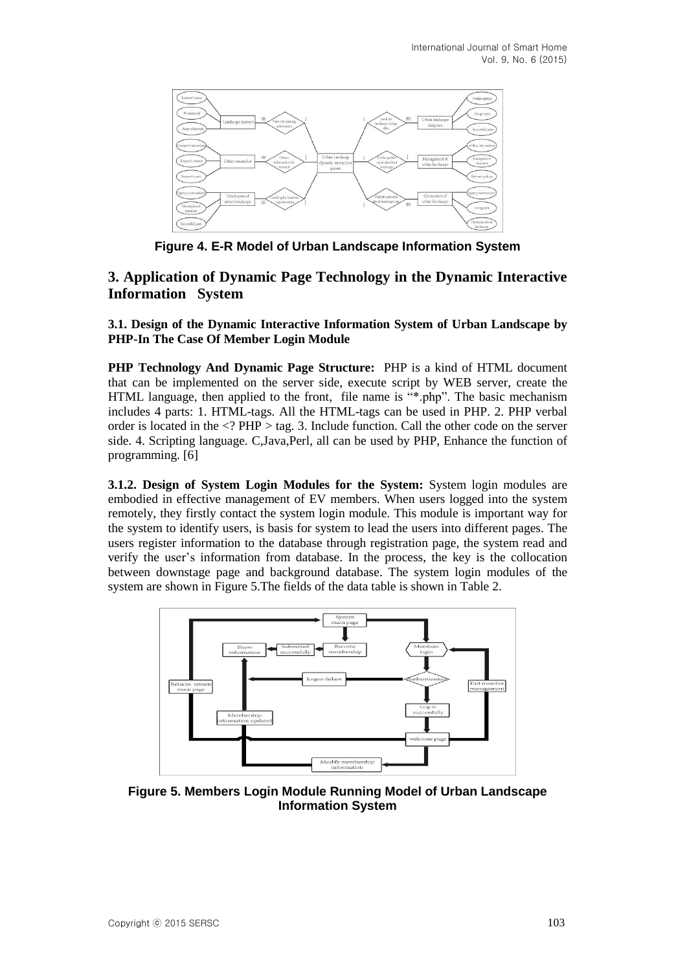

**Figure 4. E-R Model of Urban Landscape Information System**

## **3. Application of Dynamic Page Technology in the Dynamic Interactive Information System**

**3.1. Design of the Dynamic Interactive Information System of Urban Landscape by PHP-In The Case Of Member Login Module**

**PHP Technology And Dynamic Page Structure:** PHP is a kind of HTML document that can be implemented on the server side, execute script by WEB server, create the HTML language, then applied to the front, file name is "\*.php". The basic mechanism includes 4 parts: 1. HTML-tags. All the HTML-tags can be used in PHP. 2. PHP verbal order is located in the <? PHP > tag. 3. Include function. Call the other code on the server side. 4. Scripting language. C,Java,Perl, all can be used by PHP, Enhance the function of programming. [6]

**3.1.2. Design of System Login Modules for the System:** System login modules are embodied in effective management of EV members. When users logged into the system remotely, they firstly contact the system login module. This module is important way for the system to identify users, is basis for system to lead the users into different pages. The users register information to the database through registration page, the system read and verify the user's information from database. In the process, the key is the collocation between downstage page and background database. The system login modules of the system are shown in Figure 5.The fields of the data table is shown in Table 2.



**Figure 5. Members Login Module Running Model of Urban Landscape Information System**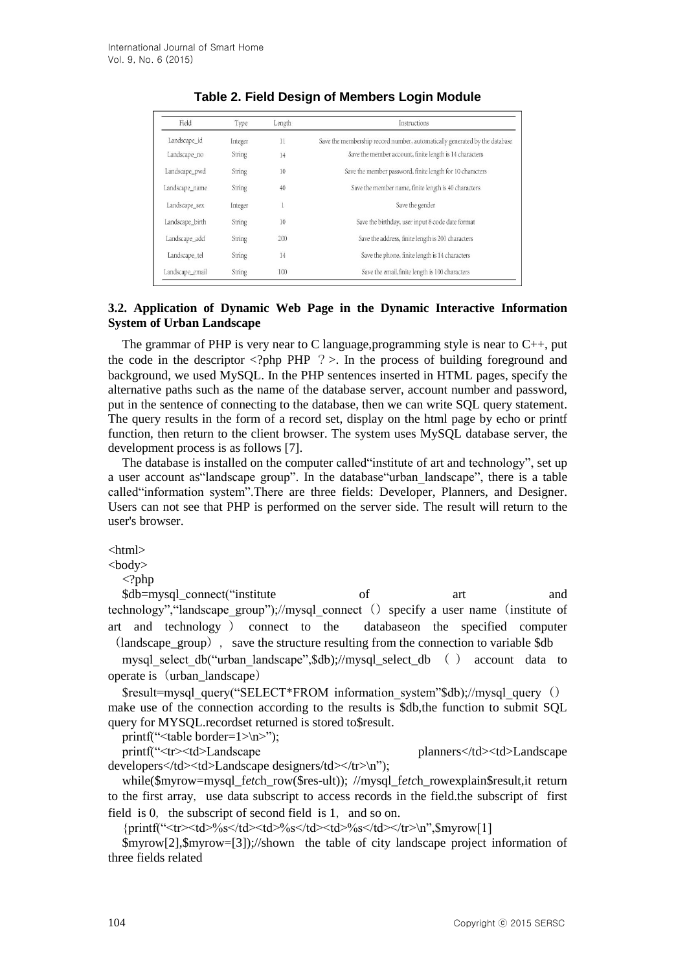| Field           | Type          | Length | Instructions                                                               |  |
|-----------------|---------------|--------|----------------------------------------------------------------------------|--|
| Landscape_id    | Integer       | 11     | Save the membership record number, automatically generated by the database |  |
| Landscape_no    | <b>String</b> | 14     | Save the member account, finite length is 14 characters                    |  |
| Landscape_pwd   | <b>String</b> | 10     | Save the member password, finite length for 10 characters                  |  |
| Landscape_name  | String        | 40     | Save the member name, finite length is 40 characters                       |  |
| Landscape_sex   | Integer       |        | Save the gender                                                            |  |
| Landscape_birth | String        | 10     | Save the birthday, user input 8 code date format                           |  |
| Landscape_add   | <b>String</b> | 200    | Save the address, finite length is 200 characters                          |  |
| Landscape_tel   | String        | 14     | Save the phone, finite length is 14 characters                             |  |
| Landscape email | <b>String</b> | 100    | Save the email, finite length is 100 characters                            |  |

### **Table 2. Field Design of Members Login Module**

### **3.2. Application of Dynamic Web Page in the Dynamic Interactive Information System of Urban Landscape**

The grammar of PHP is very near to C language, programming style is near to  $C_{++}$ , put the code in the descriptor  $\langle ?\rangle$ php PHP  $?$  >. In the process of building foreground and background, we used MySQL. In the PHP sentences inserted in HTML pages, specify the alternative paths such as the name of the database server, account number and password, put in the sentence of connecting to the database, then we can write SQL query statement. The query results in the form of a record set, display on the html page by echo or printf function, then return to the client browser. The system uses MySQL database server, the development process is as follows [7].

The database is installed on the computer called"institute of art and technology", set up a user account as"landscape group". In the database"urban\_landscape", there is a table called"information system".There are three fields: Developer, Planners, and Designer. Users can not see that PHP is performed on the server side. The result will return to the user's browser.

<html>

 $<$ body $>$ 

 $\langle$ ?php

\$db=mysql\_connect("institute of art and technology", "landscape\_group");//mysql\_connect() specify a user name(institute of art and technology ) connect to the databaseon the specified computer  $\alpha$  (landscape group), save the structure resulting from the connection to variable  $\delta$ db

mysql\_select\_db("urban\_landscape",\$db);//mysql\_select\_db ( ) account data to operate is (urban\_landscape)

\$result=mysql\_query("SELECT\*FROM information\_system"\$db);//mysql\_query() make use of the connection according to the results is \$db,the function to submit SQL query for MYSQL.recordset returned is stored to\$result.

printf("<table border=1>\n>");

printf("<tr><td>Landscape planners</td><td>Landscape

developers</td><td>Landscape designers/td></tr>></tm>'); while(\$myrow=mysql\_f*etc*h\_row(\$res-ult)); //mysql\_f*etc*h\_rowexplain\$result,it return to the first array, use data subscript to access records in the field.the subscript of first field is 0, the subscript of second field is 1, and so on.

{printf("<tr><td>%s</td><td>%s</td><td>%s</td></tr>\n",\$myrow[1]

\$myrow[2],\$myrow=[3]);//shown the table of city landscape project information of three fields related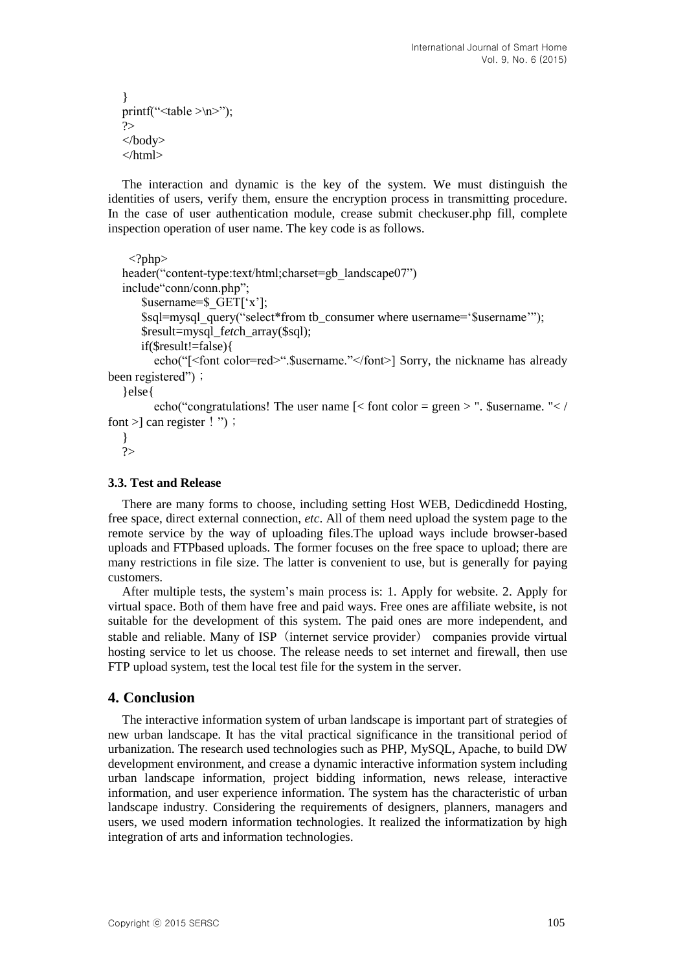```
}
printf("<table >\n>");
?>
</body>
</html>
```
The interaction and dynamic is the key of the system. We must distinguish the identities of users, verify them, ensure the encryption process in transmitting procedure. In the case of user authentication module, crease submit checkuser.php fill, complete inspection operation of user name. The key code is as follows.

```
\langle?php\rangleheader("content-type:text/html;charset=gb_landscape07")
  include"conn/conn.php";
       $username=$_GET['x'];
       $sql=mysql_query("select*from tb_consumer where username='$username'");
       $result=mysql_fetch_array($sql);
       if($result!=false){
        echo("[<font color=red>". Susername."</font>] Sorry, the nickname has already
been registered");
```
}else{

echo("congratulations! The user name  $\leq$  font color = green > ". \$username. " $\lt$  / font  $>$  can register ! ");

}  $\gamma$ 

#### **3.3. Test and Release**

There are many forms to choose, including setting Host WEB, Dedicdinedd Hosting, free space, direct external connection, *etc*. All of them need upload the system page to the remote service by the way of uploading files.The upload ways include browser-based uploads and FTPbased uploads. The former focuses on the free space to upload; there are many restrictions in file size. The latter is convenient to use, but is generally for paying customers.

After multiple tests, the system's main process is: 1. Apply for website. 2. Apply for virtual space. Both of them have free and paid ways. Free ones are affiliate website, is not suitable for the development of this system. The paid ones are more independent, and stable and reliable. Many of ISP (internet service provider) companies provide virtual hosting service to let us choose. The release needs to set internet and firewall, then use FTP upload system, test the local test file for the system in the server.

#### **4. Conclusion**

The interactive information system of urban landscape is important part of strategies of new urban landscape. It has the vital practical significance in the transitional period of urbanization. The research used technologies such as PHP, MySQL, Apache, to build DW development environment, and crease a dynamic interactive information system including urban landscape information, project bidding information, news release, interactive information, and user experience information. The system has the characteristic of urban landscape industry. Considering the requirements of designers, planners, managers and users, we used modern information technologies. It realized the informatization by high integration of arts and information technologies.